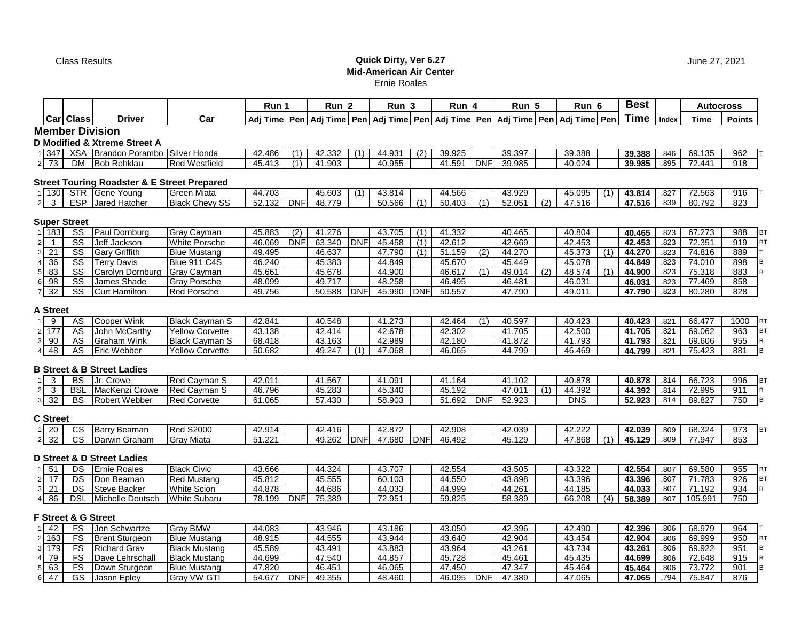## Class Results **Quick Dirty, Ver 6.27 Mid-American Air Center** Ernie Roales

|                                       |                                |                                                        |                        | Run 1        |                  | Run 2  |            | Run 3      |                  | Run 4  |            | Run 5                                                                                      |     | Run 6      |     | <b>Best</b> |       |             | <b>Autocross</b>  |
|---------------------------------------|--------------------------------|--------------------------------------------------------|------------------------|--------------|------------------|--------|------------|------------|------------------|--------|------------|--------------------------------------------------------------------------------------------|-----|------------|-----|-------------|-------|-------------|-------------------|
|                                       | Car Class                      | Driver                                                 | Car                    |              |                  |        |            |            |                  |        |            | Adj Time Pen Adj Time Pen Adj Time Pen Adj Time Pen Adj Time Pen Adj Time Pen Adj Time Pen |     |            |     | Time        | Index | <b>Time</b> | <b>Points</b>     |
|                                       | <b>Member Division</b>         |                                                        |                        |              |                  |        |            |            |                  |        |            |                                                                                            |     |            |     |             |       |             |                   |
| D Modified & Xtreme Street A          |                                |                                                        |                        |              |                  |        |            |            |                  |        |            |                                                                                            |     |            |     |             |       |             |                   |
| 1 347                                 |                                | XSA Brandon Porambo Silver Honda                       |                        | 42.486       | (1)              | 42.332 | (1)        | 44.931     | $\overline{(2)}$ | 39.925 |            | 39.397                                                                                     |     | 39.388     |     | 39.388      | .846  | 69.135      | 962               |
| $2 \overline{73}$                     | DM                             | <b>Bob Rehklau</b>                                     | <b>Red Westfield</b>   | 45.413       | (1)              | 41.903 |            | 40.955     |                  | 41.591 | <b>DNF</b> | 39.985                                                                                     |     | 40.024     |     | 39.985      | .895  | 72.441      | 918               |
|                                       |                                |                                                        |                        |              |                  |        |            |            |                  |        |            |                                                                                            |     |            |     |             |       |             |                   |
|                                       |                                | <b>Street Touring Roadster &amp; E Street Prepared</b> |                        |              |                  |        |            |            |                  |        |            |                                                                                            |     |            |     |             |       |             |                   |
| 1 1 30                                |                                | STR Gene Young                                         | Green Miata            | 44.703       |                  | 45.603 | (1)        | 43.814     |                  | 44.566 |            | 43.929                                                                                     |     | 45.095     | (1) | 43.814      | .827  | 72.563      | 916               |
| 3<br>2                                | <b>ESP</b>                     | Jared Hatcher                                          | <b>Black Chevy SS</b>  | 52.132       | <b>IDNF</b>      | 48.779 |            | 50.566     | (1)              | 50.403 | (1)        | 52.051                                                                                     | (2) | 47.516     |     | 47.516      | .839  | 80.792      | 823               |
|                                       |                                |                                                        |                        |              |                  |        |            |            |                  |        |            |                                                                                            |     |            |     |             |       |             |                   |
|                                       | <b>Super Street</b>            |                                                        |                        |              |                  |        |            |            |                  |        |            |                                                                                            |     |            |     |             |       |             |                   |
| $1 \overline{183}$                    | $\overline{\text{ss}}$         | Paul Dornburg                                          | Gray Cayman            | 45.883       | $\overline{(2)}$ | 41.276 |            | 43.705     | (1)              | 41.332 |            | 40.465                                                                                     |     | 40.804     |     | 40.465      | .823  | 67.273      | 988<br>ВT         |
| $\overline{\mathbf{1}}$               | SS                             | Jeff Jackson                                           | <b>White Porsche</b>   | 46.069       | <b>DNF</b>       | 63.340 | <b>DNF</b> | 45.458     | (1)              | 42.612 |            | 42.669                                                                                     |     | 42.453     |     | 42.453      | .823  | 72.351      | 919<br>BT         |
| 21                                    | SS                             | <b>Gary Griffith</b>                                   | <b>Blue Mustang</b>    | 49.495       |                  | 46.637 |            | 47.790     | (1)              | 51.159 | (2)        | 44.270                                                                                     |     | 45.373     | (1) | 44.270      | .823  | 74.816      | 889               |
| 36                                    | $\overline{\text{ss}}$         | <b>Terry Davis</b>                                     | <b>Blue 911 C4S</b>    | 46.240       |                  | 45.383 |            | 44.849     |                  | 45.670 |            | 45.449                                                                                     |     | 45.078     |     | 44.849      | .823  | 74.010      | 898               |
| 83                                    | SS                             | Carolyn Dornburg                                       | Gray Cayman            | 45.661       |                  | 45.678 |            | 44.900     |                  | 46.617 | (1)        | 49.014                                                                                     | (2) | 48.574     | (1) | 44.900      | .823  | 75.318      | 883               |
| 98<br>61                              | $\overline{\text{SS}}$         | James Shade                                            | Gray Porsche           | 48.099       |                  | 49.717 |            | 48.258     |                  | 46.495 |            | 46.481                                                                                     |     | 46.031     |     | 46.031      | .823  | 77.469      | 858               |
| 32                                    | SS                             | <b>Curt Hamilton</b>                                   | Red Porsche            | 49.756       |                  | 50.588 | DNF        | 45.990     | <b>DNF</b>       | 50.557 |            | 47.790                                                                                     |     | 49.011     |     | 47.790      | .823  | 80.280      | 828               |
|                                       |                                |                                                        |                        |              |                  |        |            |            |                  |        |            |                                                                                            |     |            |     |             |       |             |                   |
| <b>A Street</b>                       |                                |                                                        |                        |              |                  |        |            |            |                  |        |            |                                                                                            |     |            |     |             |       |             |                   |
| 9                                     | AS                             | Cooper Wink                                            | <b>Black Cayman S</b>  | 42.841       |                  | 40.548 |            | 41.273     |                  | 42.464 | (1)        | 40.597                                                                                     |     | 40.423     |     | 40.423      | .821  | 66.477      | 1000<br><b>BT</b> |
| $2$ 177                               | <b>AS</b>                      | John McCarthy                                          | <b>Yellow Corvette</b> | 43.138       |                  | 42.414 |            | 42.678     |                  | 42.302 |            | 41.705                                                                                     |     | 42.500     |     | 41.705      | .821  | 69.062      | 963<br><b>BT</b>  |
| 90<br>$\overline{3}$                  | AS                             | <b>Graham Wink</b>                                     | <b>Black Cayman S</b>  | 68.418       |                  | 43.163 |            | 42.989     |                  | 42.180 |            | 41.872                                                                                     |     | 41.793     |     | 41.793      | .821  | 69.606      | 955<br>B          |
| 48                                    | AS                             | <b>Eric Webber</b>                                     | <b>Yellow Corvette</b> | 50.682       |                  | 49.247 | (1)        | 47.068     |                  | 46.065 |            | 44.799                                                                                     |     | 46.469     |     | 44.799      | .821  | 75.423      | 881<br>B          |
|                                       |                                |                                                        |                        |              |                  |        |            |            |                  |        |            |                                                                                            |     |            |     |             |       |             |                   |
|                                       |                                | <b>B Street &amp; B Street Ladies</b>                  |                        |              |                  |        |            |            |                  |        |            |                                                                                            |     |            |     |             |       |             |                   |
| 3                                     | BS                             | Jr. Crowe                                              | Red Cayman S           | 42.011       |                  | 41.567 |            | 41.091     |                  | 41.164 |            | 41.102                                                                                     |     | 40.878     |     | 40.878      | .814  | 66.723      | 996<br><b>BT</b>  |
| $\overline{\omega}$<br>$\overline{2}$ | <b>BSL</b>                     | MacKenzi Crowe                                         | Red Cavman S           | 46.796       |                  | 45.283 |            | 45.340     |                  | 45.192 |            | 47.011                                                                                     | (1) | 44.392     |     | 44.392      | .814  | 72.995      | 911<br>B          |
| 32<br>3 <sup>1</sup>                  | <b>BS</b>                      | Robert Webber                                          | <b>Red Corvette</b>    | 61.065       |                  | 57.430 |            | 58.903     |                  | 51.692 | DNF        | 52.923                                                                                     |     | <b>DNS</b> |     | 52.923      | .814  | 89.827      | 750<br>B          |
|                                       |                                |                                                        |                        |              |                  |        |            |            |                  |        |            |                                                                                            |     |            |     |             |       |             |                   |
| <b>C</b> Street                       |                                |                                                        |                        |              |                  |        |            |            |                  |        |            |                                                                                            |     |            |     |             |       |             |                   |
| 20                                    | CS                             | Barry Beaman                                           | <b>Red S2000</b>       | 42.914       |                  | 42.416 |            | 42.872     |                  | 42.908 |            | 42.039                                                                                     |     | 42.222     |     | 42.039      | .809  | 68.324      | 973<br>BT         |
| 32<br>2 <sub>1</sub>                  | $\overline{\text{cs}}$         | Darwin Graham                                          | <b>Gray Miata</b>      | 51.221       |                  | 49.262 | <b>DNF</b> | 47.680 DNF |                  | 46.492 |            | 45.129                                                                                     |     | 47.868     | (1) | 45.129      | .809  | 77.947      | 853               |
|                                       |                                |                                                        |                        |              |                  |        |            |            |                  |        |            |                                                                                            |     |            |     |             |       |             |                   |
|                                       |                                | D Street & D Street Ladies                             |                        |              |                  |        |            |            |                  |        |            |                                                                                            |     |            |     |             |       |             |                   |
| 51                                    | <b>DS</b>                      | <b>Ernie Roales</b>                                    | <b>Black Civic</b>     | 43.666       |                  | 44.324 |            | 43.707     |                  | 42.554 |            | 43.505                                                                                     |     | 43.322     |     | 42.554      | .807  | 69.580      | 955<br>BT         |
| 17<br>2 <sup>1</sup>                  | DS                             | Don Beaman                                             | <b>Red Mustang</b>     | 45.812       |                  | 45.555 |            | 60.103     |                  | 44.550 |            | 43.898                                                                                     |     | 43.396     |     | 43.396      | .807  | 71.783      | BT<br>926         |
| $\overline{21}$<br>3                  | DS                             | <b>Steve Backer</b>                                    | White Scion            | 44.878       |                  | 44.686 |            | 44.033     |                  | 44.999 |            | 44.261                                                                                     |     | 44.185     |     | 44.033      | .807  | 71.192      | 934<br>B          |
| 86                                    | <b>DSL</b>                     | Michelle Deutsch                                       | <b>White Subaru</b>    | 78.199       | <b>DNF</b>       | 75.389 |            | 72.951     |                  | 59.825 |            | 58.389                                                                                     |     | 66.208     | (4) | 58.389      | .807  | 105.991     | 750               |
|                                       |                                |                                                        |                        |              |                  |        |            |            |                  |        |            |                                                                                            |     |            |     |             |       |             |                   |
|                                       | <b>F Street &amp; G Street</b> |                                                        |                        |              |                  |        |            |            |                  |        |            |                                                                                            |     |            |     |             |       |             |                   |
| 42                                    | <b>FS</b>                      | Jon Schwartze                                          | <b>Gray BMW</b>        | 44.083       |                  | 43.946 |            | 43.186     |                  | 43.050 |            | 42.396                                                                                     |     | 42.490     |     | 42.396      | .806  | 68.979      | 964               |
| $2 \overline{163}$                    | <b>FS</b>                      | <b>Brent Sturgeon</b>                                  | <b>Blue Mustang</b>    | 48.915       |                  | 44.555 |            | 43.944     |                  | 43.640 |            | 42.904                                                                                     |     | 43.454     |     | 42.904      | .806  | 69.999      | 950<br><b>BT</b>  |
| $3\overline{179}$                     | FS                             | <b>Richard Grav</b>                                    | <b>Black Mustang</b>   | 45.589       |                  | 43.491 |            | 43.883     |                  | 43.964 |            | 43.261                                                                                     |     | 43.734     |     | 43.261      | .806  | 69.922      | 951               |
| 79                                    | <b>FS</b>                      | Dave Lehrschall                                        | <b>Black Mustang</b>   | 44.699       |                  | 47.540 |            | 44.857     |                  | 45.728 |            | 45.461                                                                                     |     | 45.435     |     | 44.699      | .806  | 72.648      | 915               |
| 63                                    | FS                             | Dawn Sturgeon                                          | <b>Blue Mustang</b>    | 47.820       |                  | 46.451 |            | 46.065     |                  | 47.450 |            | 47.347                                                                                     |     | 45.464     |     | 45.464      | .806  | 73.772      | 901<br>B          |
| 47<br>6                               | GS                             | Jason Epley                                            | Gray VW GTI            | 54.677   DNF |                  | 49.355 |            | 48.460     |                  | 46.095 | <b>DNF</b> | 47.389                                                                                     |     | 47.065     |     | 47.065      | .794  | 75.847      | 876               |